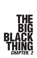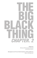# $\overline{\mathbf{2}}$ **CHAPTER.**

**Edited by** Michael Mohammed Ahmad and Winnie Dunn

**Aboriginal and Torres Strait Islander writing edited by** Ellen van Neerven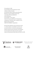First published in 2018 from the Writing and Society Research Centre at Western Sydney University by Sweatshop: Western Sydney Literacy Movement Bankstown Campus, Building 3, Room G.42 Locked Bag 1797, Penrith NSW 2751 www.sweatshop.ws Text copyright © to the authors Printed and bound by McPherson's Printing Group Cataloguing-in-Publication data is available from the National Library of Australia ISBN 978-0-9924886-7-3 (paperback)

No part of this publication may be reproduced, stored in a retrieval system or transmitted in any form or by any means electronic, mechanical, photocopying or otherwise without the prior permission of the publisher. The moral rights of the authors have been asserted. Design and typesetting by Nadine Beyrouti & Elaine Lim 2018







WRITING AND SOCIETY RESEARCH CENTRE



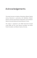# Acknowledgements

This project has been an initiative of Sweatshop: Western Sydney Literacy Movement in partnership with WestWords: Western Sydney's Literature Development Organisation and the Western Sydney University Writing and Society Research Centre.

This project is supported by the NSW Government through Create NSW, and the Crown Resorts Foundation and Packer Family Foundation, and Western Sydney University.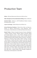# Production Team

**Editors** / Michael Mohammed Ahmad and Winnie Dunn

**Editor: Aboriginal and Torres Strait Islander Writing** / Ellen van Neerven

**Assistant Editor** / Shirley Le: 2017 WestWords Western Sydney Emerging Writers' Fellow

**Layout and Design** / Nadine Beyrouti and Elaine Lim

**School Workshop Facilitators** / Winnie Dunn, Ellen van Neerven, Shirley Le, Mariam Cheik-Hussein, Louisa Badayala, Tamar Chnorhokian, Khalid Warsame and Michael Mohammed Ahmad

**Special Thanks** / Michael Campbell, Executive Director, WestWords / Anthony Uhlmann, Director, Western Sydney University Writing and Society Research Centre / Anne McLean, Manager, Schools Engagement, Western Sydney University / Jacqui Cornforth, Pathways to Dreaming Project Officer, Western Sydney University / Josh Mason, Pathways to Dreaming Project Officer, Western Sydney University / Kate Clarkson, Creative Arts EAL/D Teacher, Lurnea IEC and High School / Helen Lee, Head Teacher, Lurnea IEC / Andrea Soto, Refugee Support Officer, Lurnea High School / Ahmed Ibrahim, Student, Lurnea High School / Omar Al Lahibi, Student, Lurnea High School / Maha Adler, Head Teacher English, Languages and EAL/D, Sir Joseph Banks High School / Dionissia Tsirigos, Head Teacher English, Wiley Park Girls High School / Fatma Akkawi, English/HSIE Teacher, Wiley Park Girls High School / Augusta Supple, Senior Manager, Engagement, Partnerships and Development, Create NSW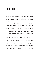#### Foreword

People always assume that the title of our anthology means something perverse. 'The Big Black Thing? More like my big black shit!' one high school student smirked as the boys howled with laughter.

Jokes aside, The Big Black Thing always captures attention wherever it is presented. The title was originally borrowed from an Instagram caption written by lina Kastoumis, which featured in Chapter. 1. Now the title of our anthology series is more like a metaphor for Sweatshop's version of contemporary Australian literature, which carries and reclaims stories written by marginalised people from Indigenous and culturally and linguistically diverse backgrounds.

The Big Black Thing: Chapter. 1 was launched at Walsh Bay for the Sydney Writers' Festival in May 2017. We invited every contributor to take part in the celebration and enter a privileged literary space previously closed off to most minority communities from Western Sydney. Our writers travelled from Bankstown, Blacktown, Parramatta, Mt Druitt, Penrith, Auburn and Liverpool to participate. It was a full house. Right when the doors closed, young refugee writers from Lurnea High School knocked on the windows trying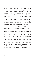to get into their own event. With every seat taken, those of us from Sweatshop chanted, 'Let Them In!' The organisers eventually violated fire safety codes just for us to stop yelling. This is how I've seen The Big Black Thing attempt to transform literature and lives: It has opened doors to showcase writing that pushes back against racist, sexist, classist and queerphobic narratives produced in Australia and around the world by mainstream media, art and television. As author and feminist Chimamanda Ngozi Adichie argues, when the marginalised write against, beyond and despite dangerous single narratives, we create awareness, multiplicity and original contributions to world knowledge.

Weaved into this second issue of The Big Black Thing are new and familiar writers from the Western Sydney Writers Group, who have reclaimed their hybrid identities through prose and poetry. Shirley Le and Stephen Pham remember Auburn-born, Myuran Sukumaran, a member of the Bali Nine who was executed in 2015 by the Indonesian Government for drug trafficking. Monikka Eliah finds her nana in a knitted jumper, Peter Polites examines the relationship between local and international violence against queer men of colour, Tamar Chnorhokian shows us what it means to be a 'sik bitch' and Gabby Florek reveals the 'Brown hand of God' in her Afro Peruvian ancestry. Amanda Yeo writes about the awkward stumbles and casual puns in flirting, Adam Anderson speaks to the diaspora of being a mixed-raced Indonesian man in his ancestral homeland, Samantha Hogg fights off her inner demons with a sprained ankle and Tien Tran brings the suburbs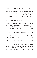of Perth to the doorstep of Western Sydney in a 'stupid-ass' orange car. Once again, there is also an exciting collection of poetry from the Western Sydney Writers Group featured in The Big Black Thing: Omar Sakr spills Arab identity across Lurnea, Kane Harrington re-introduces us to the might of the pen, Jason Gray street talks from above and Evelyn Araluen maps out Dodge City, lined with goanna trees, COSTCO and Macca's.

Alongside these contributions are the works of young writers from Sir Joseph Banks High School, Lurnea High School and Wiley Park Girls High School. Students from first, second and third generation Arab, African, East Asian, South Asian, South-East Asian and Pasifika backgrounds take readers through the burnt rubber roads of the Hume Highway to midnight gunfire in the streets of Baghdad.

The pages within this book also include a series of untitled works by young Aboriginal and Torres Strait Islander writers from Glenmore Park High School, Kingswood High School and St Clair High School. This particular content was curated and edited by award-winning Yugambeh author Ellen van Neerven, and the stories of First Nation Australians speak for themselves loud and clear.

Lastly, The Big Black Thing: Chapter. 2 is blessed with six artworks from this year's feature artist, Emma Hicks. I first met Emma at a Sweatshop picnic in 2017 and immediately came to admire her empathy for mundane phenomena. I remember Emma alerting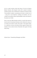me to a small common myna bird lying in the dirt of Auburn Botanic Gardens. We thought it died until it rustled its feathers and flew upward. This is what Emma's collection of artworks, titled 'Conversations: feathers, quandongs and tracks', reminds me of – using ink to cast footprints, seedlings and feathers, she has created conversations about responsibilities, ethics and stories in the places we inhabit.

Even in the year 2018, Australia remains a country that seems to lack the kind of mainstream literature which reflects the colour of our history and modern society. Here again, in the pages ahead, is a collection of prose and poetry that go against, beyond and despite a mono-cultural version of Australia. Here again is this big black thing…

*Winnie Dunn / Sweatshop Manager and Editor*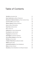| Talk Shit by Auckland Uati                          | 15 |
|-----------------------------------------------------|----|
| Dark, Putrid Lines by Marko Poletanovic             | 16 |
| Bankstown's National Anthem by Paris Caroline Henry | 18 |
| Love for Xu Wu by John Truong                       | 20 |
| Western Sydney by Michel Anderson                   | 23 |
| Iman by Marouf Alameddine                           | 25 |
| <b>Guard Up by Ebony Annor</b>                      | 27 |
| bà by Jessica Vu                                    | 29 |
| Kalitsounia by Joanne Georgousaki                   | 33 |
| Punchbowl by Jaafar Ibrahim                         | 35 |
| <b>Fingerguns</b> by Amanda Yeo                     | 37 |
| <b>Gold Digger by Suleiman Suleiman</b>             | 44 |
| On the Way to Sydney by Omar Sakr                   | 46 |
| 923 Bus by Cloe Letele                              | 48 |
| A Hijabi's Fitted Dress by Bassima Hadid            | 49 |
| Wallah by Eman Arja                                 | 51 |
| Lakemba/Punchbowl by Farah Abdelkarim               | 54 |
| Malay by Evelyn Araluen                             | 57 |
| Harambe by Farah Abdelkarim and Shayma Assaad       | 60 |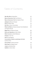| Weo Weo Weo by Norita Rizvi                          | 62  |
|------------------------------------------------------|-----|
| Myuran Sukumaran: Part 1 by Shirley Le               | 63  |
| Myuran Sukumaran: Part 2 by Stephen Pham             | 69  |
| καλιιερα by Mariam Al Asaad                          | 74  |
| Oreo by Hikmah Tebe                                  | 76  |
| <b>Sik Chik by Tamar Chnorhokian</b>                 | 78  |
| Pitbull and Maria by Shayma Assaad, Farah Abdelkarim | 84  |
| and Aqeela Shauab                                    |     |
| <b>Bigge Park by Catherine Prasad</b>                | 86  |
| <b>Sharia and Cigarettes by Peter Polites</b>        | 88  |
| White Converse by Safa El-Mazloum                    | 95  |
| <b>Orange by Tien Tran</b>                           | 97  |
| Shu?! by Aya Elgamal                                 | 102 |
| Conversations: feathers, quandongs and tracks        | 105 |
| by Emma Hicks                                        |     |
| Second Plate by Samar El-Charif                      | 114 |
| Sister Sister by Abigail Chand                       | 117 |
| Jumper by Monikka Eliah                              | 119 |
| <b>Goldfish by Tasnim Alam</b>                       | 125 |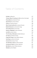| Fat Man by Maya Ali                                  | 127 |
|------------------------------------------------------|-----|
| Thirteen Ways of Looking at a Pen by Kane Harrington | 129 |
| <b>Pearly Blacks by Gabriella Florek</b>             | 132 |
| Ayat Al Kursi by Ushna Fatima                        | 136 |
| Lahme by Yazmeen Akoum                               | 138 |
| Work Fucked Up My Life by Ageela Shauab              | 140 |
| <b>Bullshit Delusions by Samantha Hogg</b>           | 141 |
| On the Way Home by Sam Sabri                         | 145 |
| <b>Gunfire in Midnight by Aws Al Khamisi</b>         | 149 |
| Last Gift by Azeez Azeez                             | 150 |
| The First Day of Ramadan by Belal Shahoud            | 151 |
| Iran Syria by Ghadeer Darraji                        | 154 |
| <b>Forget All Things by Sam Nathim Naeem</b>         | 156 |
| Hard Days by Saman Al Zuhairi                        | 158 |
| Covered Us by Savyo Yonan                            | 160 |
| The Old Days in Syria by Adam Alsabahi               | 161 |
| Carrying my Father by Ameer Alkhamis                 | 163 |
| <b>Bak Mandi by Adam Phillip Anderson</b>            | 165 |
| <b>Shababs</b> by Dani Mejbel                        | 172 |
|                                                      |     |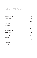| <b>Florent by Jason Gray</b>                  | 173 |
|-----------------------------------------------|-----|
| <b>Tyriece Peachey</b>                        | 178 |
| <b>Brandon Gale</b>                           | 180 |
| Marko Bogic                                   | 181 |
| <b>Trinity Wensley</b>                        | 182 |
| Dominic Mills                                 | 184 |
| Kasey Weightman                               | 186 |
| <b>Trenton Fynn</b>                           | 188 |
| Samantha Snedden                              | 190 |
| <b>Tellah Edwards</b>                         | 192 |
| <b>Riley Kefford</b>                          | 194 |
| Lachlan Holmes                                | 196 |
| Jamil Janif                                   | 198 |
| <b>Chelsea Randell</b>                        | 199 |
| Tahlia Blacklock, Kiah Bolt and Mikayla Kumar | 201 |
| Mikayla Kumar                                 | 202 |
| <b>Colt Currell</b>                           | 203 |
| <b>Hayley Laws</b>                            | 205 |
| <b>Harrison Randell</b>                       | 206 |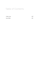| Caitlin Laws | 207 |
|--------------|-----|
| Isaac Miller | 210 |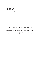# Talk Shit

*Auckland Uati*

Don't fuck with a Samoan lady. They always have a fire under their bellies just waiting to get lit. Samoan families talk shit. One time my cousin Paulo said, 'We bought a new PS4 today.' Even though he didn't. Mum rubbed her belly and said with big eyes, 'Ohh we bought that ages ago.' We didn't have shit. We never have shit.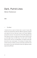# Dark, Putrid Lines

*Marko Poletanovic*

#### *⁄ The Meet*

I arrived at the car park at Centro late as usual of course. My friends were already there with their JDMs all organised, prepped and ready for the race. We took it down to the Hume Highway just past the reservoir. Two paved lines of the traffic-plagued road were about to receive a couple more sets of tyres. We each lined up at the lights: Suly in his RX7, Toey in his 2JZ, Jaaf in his R32, Fouf in his STI, and me in my R34 Skyline. The lights shortly after like half an hour, turned green. The windows of nearby shook, and the road was rumbling. Us boys scarred dark, putrid lines and tyre smoke on the road, and floored it down the highway, quickly approaching 100/mph.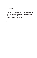#### *⁄ Krispy Kreme*

I was in my Twin Turbo Supra as I clocked 187/mph on the Hume Highway. The coppers pulled me over to the side of the road and straight away a tall fat shit gets out of the car and comes to my window. I had a twelve pk of Krispy Kreme glazed donuts on the lap of some chick in the passenger seat.

'Do you know why I pulled you over?' said the fat copper with a bogan as accent.

'Cause you smelt my Krispy Kreme, didn't ya?'